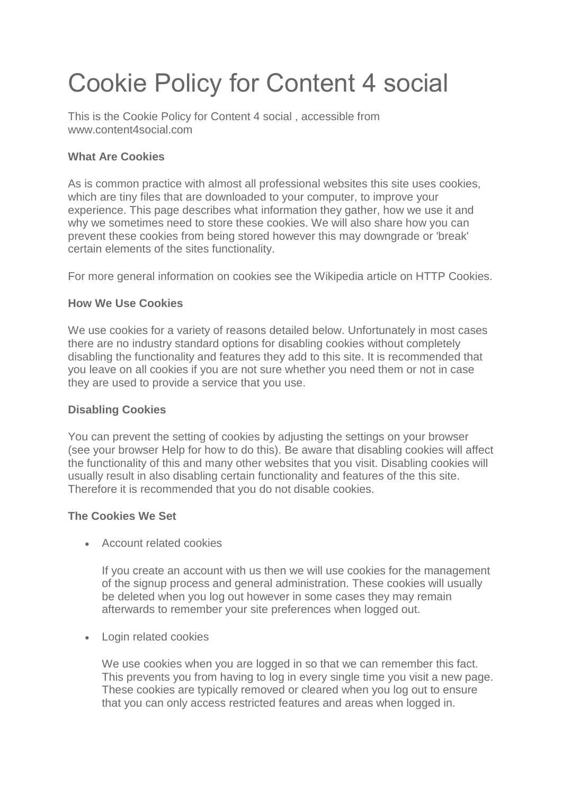# Cookie Policy for Content 4 social

This is the Cookie Policy for Content 4 social , accessible from www.content4social.com

# **What Are Cookies**

As is common practice with almost all professional websites this site uses cookies, which are tiny files that are downloaded to your computer, to improve your experience. This page describes what information they gather, how we use it and why we sometimes need to store these cookies. We will also share how you can prevent these cookies from being stored however this may downgrade or 'break' certain elements of the sites functionality.

For more general information on cookies see the Wikipedia article on HTTP Cookies.

# **How We Use Cookies**

We use cookies for a variety of reasons detailed below. Unfortunately in most cases there are no industry standard options for disabling cookies without completely disabling the functionality and features they add to this site. It is recommended that you leave on all cookies if you are not sure whether you need them or not in case they are used to provide a service that you use.

# **Disabling Cookies**

You can prevent the setting of cookies by adjusting the settings on your browser (see your browser Help for how to do this). Be aware that disabling cookies will affect the functionality of this and many other websites that you visit. Disabling cookies will usually result in also disabling certain functionality and features of the this site. Therefore it is recommended that you do not disable cookies.

# **The Cookies We Set**

• Account related cookies

If you create an account with us then we will use cookies for the management of the signup process and general administration. These cookies will usually be deleted when you log out however in some cases they may remain afterwards to remember your site preferences when logged out.

• Login related cookies

We use cookies when you are logged in so that we can remember this fact. This prevents you from having to log in every single time you visit a new page. These cookies are typically removed or cleared when you log out to ensure that you can only access restricted features and areas when logged in.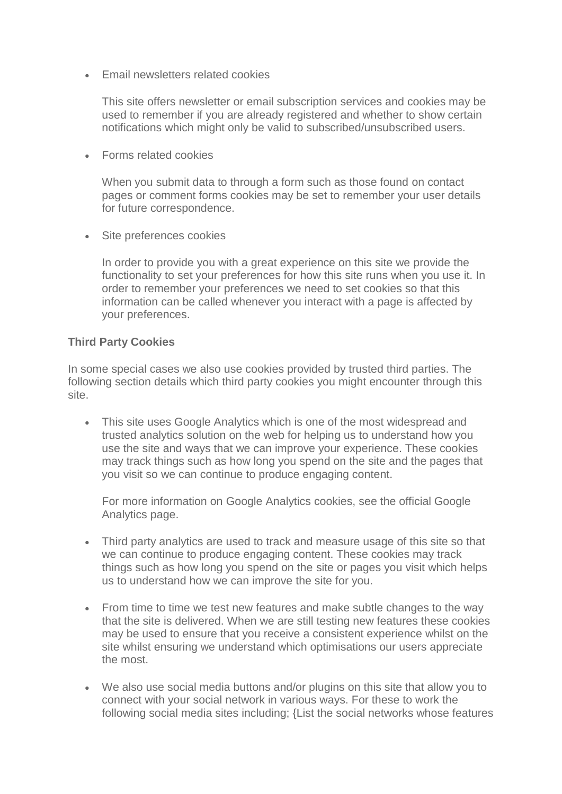• Email newsletters related cookies

This site offers newsletter or email subscription services and cookies may be used to remember if you are already registered and whether to show certain notifications which might only be valid to subscribed/unsubscribed users.

• Forms related cookies

When you submit data to through a form such as those found on contact pages or comment forms cookies may be set to remember your user details for future correspondence.

• Site preferences cookies

In order to provide you with a great experience on this site we provide the functionality to set your preferences for how this site runs when you use it. In order to remember your preferences we need to set cookies so that this information can be called whenever you interact with a page is affected by your preferences.

### **Third Party Cookies**

In some special cases we also use cookies provided by trusted third parties. The following section details which third party cookies you might encounter through this site.

• This site uses Google Analytics which is one of the most widespread and trusted analytics solution on the web for helping us to understand how you use the site and ways that we can improve your experience. These cookies may track things such as how long you spend on the site and the pages that you visit so we can continue to produce engaging content.

For more information on Google Analytics cookies, see the official Google Analytics page.

- Third party analytics are used to track and measure usage of this site so that we can continue to produce engaging content. These cookies may track things such as how long you spend on the site or pages you visit which helps us to understand how we can improve the site for you.
- From time to time we test new features and make subtle changes to the way that the site is delivered. When we are still testing new features these cookies may be used to ensure that you receive a consistent experience whilst on the site whilst ensuring we understand which optimisations our users appreciate the most.
- We also use social media buttons and/or plugins on this site that allow you to connect with your social network in various ways. For these to work the following social media sites including; {List the social networks whose features